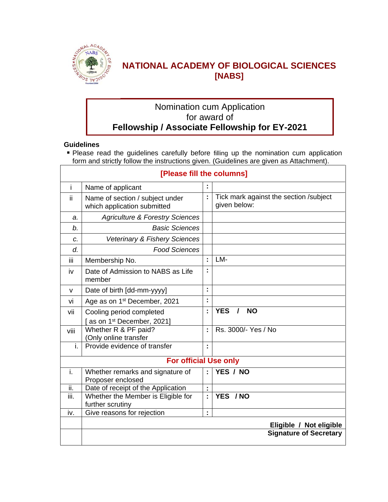

## **NATIONAL ACADEMY OF BIOLOGICAL SCIENCES [NABS]**

## Nomination cum Application for award of **Fellowship / Associate Fellowship for EY-2021**

#### **Guidelines**

**Please read the guidelines carefully before filling up the nomination cum application** form and strictly follow the instructions given. (Guidelines are given as Attachment).

| [Please fill the columns] |                                                                   |                      |                                                        |  |  |  |  |
|---------------------------|-------------------------------------------------------------------|----------------------|--------------------------------------------------------|--|--|--|--|
| i                         | Name of applicant                                                 |                      |                                                        |  |  |  |  |
| ii.                       | Name of section / subject under<br>which application submitted    | Ì,                   | Tick mark against the section /subject<br>given below: |  |  |  |  |
| a.                        | <b>Agriculture &amp; Forestry Sciences</b>                        |                      |                                                        |  |  |  |  |
| b <sub>1</sub>            | <b>Basic Sciences</b>                                             |                      |                                                        |  |  |  |  |
| C.                        | <b>Veterinary &amp; Fishery Sciences</b>                          |                      |                                                        |  |  |  |  |
| d.                        | <b>Food Sciences</b>                                              |                      |                                                        |  |  |  |  |
| iii                       | Membership No.                                                    | t                    | LM-                                                    |  |  |  |  |
| iv                        | Date of Admission to NABS as Life<br>member                       | t                    |                                                        |  |  |  |  |
| v                         | Date of birth [dd-mm-yyyy]                                        | Ì,                   |                                                        |  |  |  |  |
| vi                        | Age as on 1 <sup>st</sup> December, 2021                          | $\blacksquare$       |                                                        |  |  |  |  |
| vii                       | Cooling period completed<br>as on 1 <sup>st</sup> December, 2021] | Ì,                   | <b>YES</b><br><b>NO</b><br>$\prime$                    |  |  |  |  |
| viii                      | Whether R & PF paid?<br>(Only online transfer                     | $\ddot{\phantom{a}}$ | Rs. 3000/- Yes / No                                    |  |  |  |  |
| i.                        | Provide evidence of transfer                                      | $\blacksquare$       |                                                        |  |  |  |  |
|                           | <b>For official Use only</b>                                      |                      |                                                        |  |  |  |  |
| i.                        | Whether remarks and signature of<br>Proposer enclosed             | t                    | YES / NO                                               |  |  |  |  |
| ii.                       | Date of receipt of the Application                                | t                    |                                                        |  |  |  |  |
| iii.                      | Whether the Member is Eligible for<br>further scrutiny            | ÷                    | YES / NO                                               |  |  |  |  |
| iv.                       | Give reasons for rejection                                        | Ì,                   |                                                        |  |  |  |  |
|                           |                                                                   |                      | Eligible / Not eligible                                |  |  |  |  |
|                           |                                                                   |                      | <b>Signature of Secretary</b>                          |  |  |  |  |
|                           |                                                                   |                      |                                                        |  |  |  |  |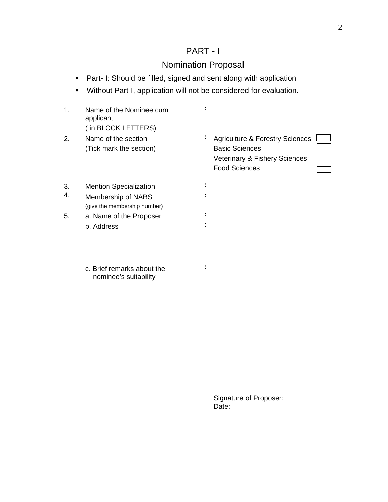## PART - I

## Nomination Proposal

- **Part- I: Should be filled, signed and sent along with application**
- Without Part-I, application will not be considered for evaluation.

| 1. | Name of the Nominee cum<br>applicant<br>(in BLOCK LETTERS) |   |                                                                                                                              |
|----|------------------------------------------------------------|---|------------------------------------------------------------------------------------------------------------------------------|
| 2. | Name of the section<br>(Tick mark the section)             | ÷ | <b>Agriculture &amp; Forestry Sciences</b><br><b>Basic Sciences</b><br>Veterinary & Fishery Sciences<br><b>Food Sciences</b> |
| 3. | <b>Mention Specialization</b>                              |   |                                                                                                                              |
| 4. | Membership of NABS<br>(give the membership number)         |   |                                                                                                                              |
| 5. | a. Name of the Proposer                                    |   |                                                                                                                              |
|    | b. Address                                                 |   |                                                                                                                              |
|    | c. Brief remarks about the<br>nominee's suitability        | ÷ |                                                                                                                              |
|    |                                                            |   |                                                                                                                              |
|    |                                                            |   | Signature of Proposer:                                                                                                       |
|    |                                                            |   | Date:                                                                                                                        |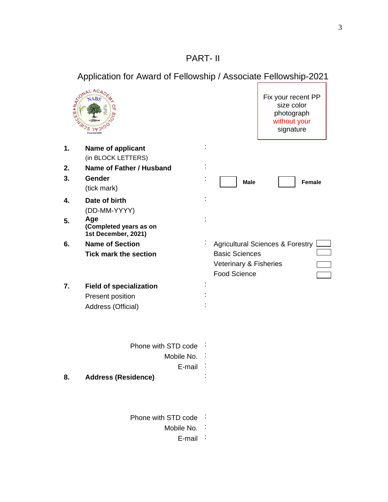# PART- II

# Application for Award of Fellowship / Associate Fellowship-2021<br>  $\begin{array}{r} \left\{\begin{array}{c}\n\frac{1}{x} \frac{1}{x} \frac{1}{x} \frac{1}{x} \frac{1}{x} \frac{1}{x} \frac{1}{x} \frac{1}{x} \frac{1}{x} \frac{1}{x} \frac{1}{x} \frac{1}{x} \frac{1}{x} \frac{1}{x} \frac{1}{x} \frac{1}{x} \frac{1}{x} \frac{1}{x} \frac{1}{x} \frac{1$



Fix your recent PP size color photograph without your signature

| 1. | Name of applicant                                    |              |                                             |               |
|----|------------------------------------------------------|--------------|---------------------------------------------|---------------|
|    | (in BLOCK LETTERS)                                   |              |                                             |               |
| 2. | Name of Father / Husband                             |              |                                             |               |
| 3. | Gender                                               |              | <b>Male</b>                                 | <b>Female</b> |
|    | (tick mark)                                          |              |                                             |               |
| 4. | Date of birth                                        |              |                                             |               |
|    | (DD-MM-YYYY)                                         |              |                                             |               |
| 5. | Age<br>(Completed years as on<br>1st December, 2021) | $\mathbf{r}$ |                                             |               |
| 6. | <b>Name of Section</b>                               |              | <b>Agricultural Sciences &amp; Forestry</b> |               |
|    | <b>Tick mark the section</b>                         |              | <b>Basic Sciences</b>                       |               |
|    |                                                      |              | Veterinary & Fisheries                      |               |
|    |                                                      |              | <b>Food Science</b>                         |               |
| 7. | <b>Field of specialization</b>                       |              |                                             |               |
|    | Present position                                     |              |                                             |               |
|    | Address (Official)                                   |              |                                             |               |
|    | Phone with STD code                                  |              |                                             |               |
|    | Mobile No.                                           |              |                                             |               |
|    | E-mail                                               |              |                                             |               |
| 8. | <b>Address (Residence)</b>                           |              |                                             |               |
|    |                                                      |              |                                             |               |
|    | Phone with STD code                                  |              |                                             |               |
|    | Mobile No.                                           |              |                                             |               |
|    | E-mail                                               |              |                                             |               |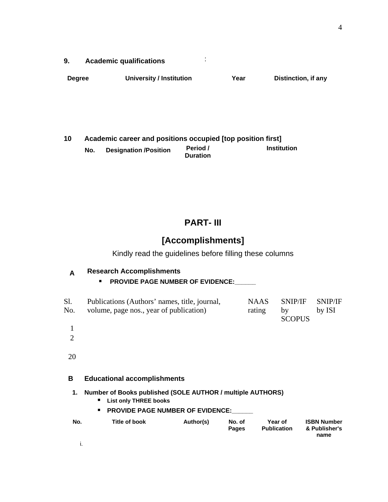| <br><b>Academic qualifications</b> |  |  |
|------------------------------------|--|--|
|                                    |  |  |

| <b>Degree</b> | University / Institution | /ear | <b>Distinction, if any</b> |
|---------------|--------------------------|------|----------------------------|
|               |                          |      |                            |
|               |                          |      |                            |
|               |                          |      |                            |
|               |                          |      |                            |

| Academic career and positions occupied [top position first] |                              |                             |             |  |  |  |  |
|-------------------------------------------------------------|------------------------------|-----------------------------|-------------|--|--|--|--|
| No.                                                         | <b>Designation /Position</b> | Period /<br><b>Duration</b> | Institution |  |  |  |  |
|                                                             |                              |                             |             |  |  |  |  |
|                                                             |                              |                             |             |  |  |  |  |
|                                                             |                              |                             |             |  |  |  |  |
|                                                             |                              |                             |             |  |  |  |  |

# **PART- III**

# **[Accomplishments]**

Kindly read the guidelines before filling these columns

| <b>Research Accomplishments</b>         |
|-----------------------------------------|
| <b>PROVIDE PAGE NUMBER OF EVIDENCE:</b> |

| : Sl.            | Publications (Authors' names, title, journal, | <b>NAAS</b> | $\pm$ SNIP/IF $\pm$ SNIP/IF |        |
|------------------|-----------------------------------------------|-------------|-----------------------------|--------|
| $\mathbb{N}$ No. | volume, page nos., year of publication)       | rating      | hv                          | by ISI |
|                  |                                               |             | <b>SCOPUS</b>               |        |
|                  |                                               |             |                             |        |
|                  |                                               |             |                             |        |
|                  |                                               |             |                             |        |
|                  |                                               |             |                             |        |

| в   | <b>Educational accomplishments</b>                                                                                                       |           |                        |                               |                                             |  |  |  |
|-----|------------------------------------------------------------------------------------------------------------------------------------------|-----------|------------------------|-------------------------------|---------------------------------------------|--|--|--|
|     | 1. Number of Books published (SOLE AUTHOR / multiple AUTHORS)<br><b>List only THREE books</b><br><b>PROVIDE PAGE NUMBER OF EVIDENCE:</b> |           |                        |                               |                                             |  |  |  |
| No. | Title of book                                                                                                                            | Author(s) | No. of<br><b>Pages</b> | Year of<br><b>Publication</b> | <b>ISBN Number</b><br>& Publisher's<br>name |  |  |  |
|     |                                                                                                                                          |           |                        |                               |                                             |  |  |  |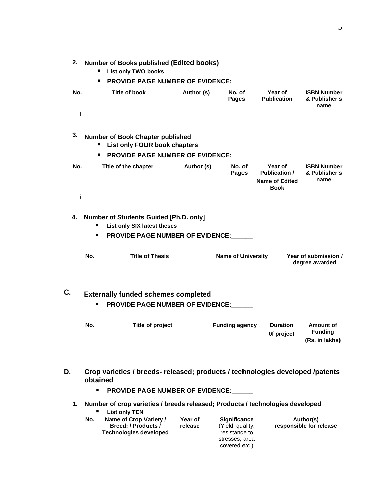| 2. Number of Books published (Edited books)<br><b>List only TWO books</b><br>п<br><b>PROVIDE PAGE NUMBER OF EVIDENCE:</b><br>п. |               |            |                        |                               |                                             |  |
|---------------------------------------------------------------------------------------------------------------------------------|---------------|------------|------------------------|-------------------------------|---------------------------------------------|--|
| No.                                                                                                                             | Title of book | Author (s) | No. of<br><b>Pages</b> | Year of<br><b>Publication</b> | <b>ISBN Number</b><br>& Publisher's<br>name |  |
|                                                                                                                                 |               |            |                        |                               |                                             |  |

| 3.  | Number of Book Chapter published<br><b>List only FOUR book chapters</b><br><b>PROVIDE PAGE NUMBER OF EVIDENCE:</b><br>٠ |            |                 |                                                                         |                                             |
|-----|-------------------------------------------------------------------------------------------------------------------------|------------|-----------------|-------------------------------------------------------------------------|---------------------------------------------|
| No. | Title of the chapter                                                                                                    | Author (s) | No. of<br>Pages | Year of<br><b>Publication /</b><br><b>Name of Edited</b><br><b>Book</b> | <b>ISBN Number</b><br>& Publisher's<br>name |
|     |                                                                                                                         |            |                 |                                                                         |                                             |

|  |   | 4. Number of Students Guided [Ph.D. only] |  |
|--|---|-------------------------------------------|--|
|  | п | List only SIX latest theses               |  |
|  |   | <b>PROVIDE PAGE NUMBER OF EVIDENCE:</b>   |  |
|  |   |                                           |  |

| No. | <b>Title of Thesis</b> | <b>Name of University</b> | : Year of submission $\prime$<br>degree awarded |
|-----|------------------------|---------------------------|-------------------------------------------------|
|     |                        |                           |                                                 |

# **C. Externally funded schemes completed PROVIDE PAGE NUMBER OF EVIDENCE:**

| No. | Title of project | <b>Funding agency</b> | <b>Duration</b><br>Of project | Amount of<br><b>Funding</b><br>(Rs. in lakhs) |
|-----|------------------|-----------------------|-------------------------------|-----------------------------------------------|
|     |                  |                       |                               |                                               |

| D. | Crop varieties / breeds- released; products / technologies developed /patents<br>obtained<br><b>PROVIDE PAGE NUMBER OF EVIDENCE:</b><br>п |                                                                         |                    |                                                                                                     |                                      |  |  |
|----|-------------------------------------------------------------------------------------------------------------------------------------------|-------------------------------------------------------------------------|--------------------|-----------------------------------------------------------------------------------------------------|--------------------------------------|--|--|
|    | Number of crop varieties / breeds released; Products / technologies developed<br><b>List only TEN</b>                                     |                                                                         |                    |                                                                                                     |                                      |  |  |
|    | No.                                                                                                                                       | Name of Crop Variety /<br>Breed; / Products /<br>Technologies developed | Year of<br>release | <b>Significance</b><br>(Yield, quality,<br>resistance to<br>stresses; area<br>covered <i>etc</i> .) | Author(s)<br>responsible for release |  |  |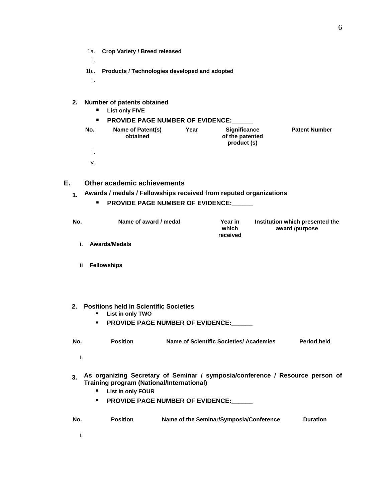|                                                  | 1a. : Crop Variety / Breed released |  |  |  |  |  |
|--------------------------------------------------|-------------------------------------|--|--|--|--|--|
|                                                  |                                     |  |  |  |  |  |
| 1b Products / Technologies developed and adopted |                                     |  |  |  |  |  |
|                                                  |                                     |  |  |  |  |  |

| 2. | Number of patents obtained<br><b>List only FIVE</b><br>п.<br><b>PROVIDE PAGE NUMBER OF EVIDENCE:</b><br>п |                               |      |                                                |                      |
|----|-----------------------------------------------------------------------------------------------------------|-------------------------------|------|------------------------------------------------|----------------------|
|    | No.                                                                                                       | Name of Patent(s)<br>obtained | Year | Significance<br>of the patented<br>product (s) | <b>Patent Number</b> |
|    |                                                                                                           |                               |      |                                                |                      |
|    |                                                                                                           |                               |      |                                                |                      |

| Other academic achievements                                             |
|-------------------------------------------------------------------------|
| $\pm$ Awards / medals / Fellowships received from reputed organizations |
| <b>PROVIDE PAGE NUMBER OF EVIDENCE:</b>                                 |

| Name of award / medal | Year in<br>which<br>received | Institution which presented the<br>award /purpose |
|-----------------------|------------------------------|---------------------------------------------------|
| i. Awards/Medals      |                              |                                                   |
|                       |                              |                                                   |
| ii Fellowships        |                              |                                                   |
|                       |                              |                                                   |

| 2. Positions held in Scientific Societies |  |
|-------------------------------------------|--|
| ■ List in only TWO                        |  |
| <b>PROVIDE PAGE NUMBER OF EVIDENCE:</b>   |  |

| No. | Position | Name of Scientific Societies/ Academies | <b>Period held</b> |
|-----|----------|-----------------------------------------|--------------------|
|     |          |                                         |                    |

#### **3. As organizing Secretary of Seminar / symposia/conference / Resource person of Training program (National/International) List in only FOUR**

- 
- **PROVIDE PAGE NUMBER OF EVIDENCE:**

| <br>้ No. | <b>Position</b> | Name of the Seminar/Symposia/Conference | <b>Duration</b> |
|-----------|-----------------|-----------------------------------------|-----------------|
|           |                 |                                         |                 |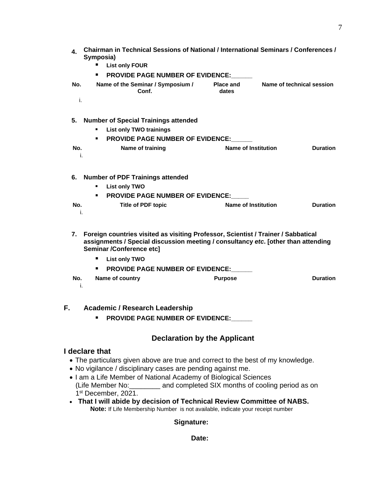|  |     | <b>Chairman in Technical Sessions of National / International Seminars / Conferences /</b><br>Symposia)<br><b>List only FOUR</b><br><b>PROVIDE PAGE NUMBER OF EVIDENCE:</b> |                    |                           |  |  |
|--|-----|-----------------------------------------------------------------------------------------------------------------------------------------------------------------------------|--------------------|---------------------------|--|--|
|  | No. | Name of the Seminar / Symposium /<br>Conf                                                                                                                                   | Place and<br>dates | Name of technical session |  |  |
|  |     |                                                                                                                                                                             |                    |                           |  |  |

| 5. Number of Special Trainings attended |                                         |                  |                     |  |  |  |
|-----------------------------------------|-----------------------------------------|------------------|---------------------|--|--|--|
|                                         | List only TWO trainings                 |                  |                     |  |  |  |
|                                         | <b>PROVIDE PAGE NUMBER OF EVIDENCE:</b> |                  |                     |  |  |  |
| N٥                                      |                                         | Name of training | Name of Institution |  |  |  |
|                                         |                                         |                  |                     |  |  |  |

|                                         | 6. Number of PDF Trainings attended |               |  |                    |                            |  |
|-----------------------------------------|-------------------------------------|---------------|--|--------------------|----------------------------|--|
|                                         |                                     | List only TWO |  |                    |                            |  |
| <b>PROVIDE PAGE NUMBER OF EVIDENCE:</b> |                                     |               |  |                    |                            |  |
|                                         |                                     |               |  | Title of PDF topic | <b>Name of Institution</b> |  |
|                                         |                                     |               |  |                    |                            |  |

|     | 7. Foreign countries visited as visiting Professor, Scientist / Trainer / Sabbatical<br>assignments / Special discussion meeting / consultancy etc. [other than attending<br>Seminar /Conference etc] |                 |                |  |  |  |  |
|-----|-------------------------------------------------------------------------------------------------------------------------------------------------------------------------------------------------------|-----------------|----------------|--|--|--|--|
|     | <b>List only TWO</b>                                                                                                                                                                                  |                 |                |  |  |  |  |
|     | <b>PROVIDE PAGE NUMBER OF EVIDENCE:</b>                                                                                                                                                               |                 |                |  |  |  |  |
| No. |                                                                                                                                                                                                       | Name of country | <b>Purpose</b> |  |  |  |  |
|     |                                                                                                                                                                                                       |                 |                |  |  |  |  |

| <b>Academic / Research Leadership</b> |                                         |  |
|---------------------------------------|-----------------------------------------|--|
|                                       | <b>PROVIDE PAGE NUMBER OF EVIDENCE:</b> |  |

## **Declaration by the Applicant**

### **I declare that**

- The particulars given above are true and correct to the best of my knowledge.
- No vigilance / disciplinary cases are pending against me.
- I am a Life Member of National Academy of Biological Sciences (Life Member No:\_\_\_\_\_\_\_\_ and completed SIX months of cooling period as on 1st December, 2021.
- **That I will abide by decision of Technical Review Committee of NABS. Note:** If Life Membership Number is not available, indicate your receipt number

### **Signature:**

### **Date:**